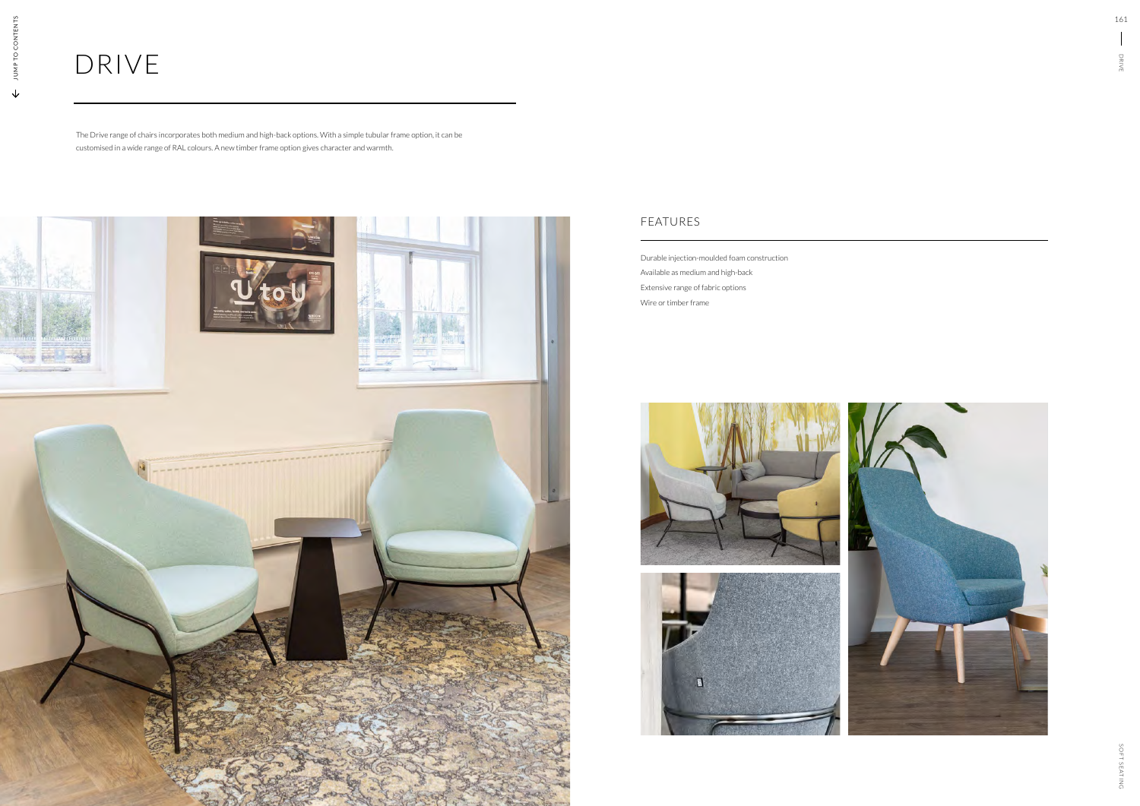# DRIVE

The Drive range of chairs incorporates both medium and high-back options. With a simple tubular frame option, it can be customised in a wide range of RAL colours. A new timber frame option gives character and warmth.



Durable injection-moulded foam construction Available as medium and high-back Extensive range of fabric options Wire or timber frame







#### FEATURES